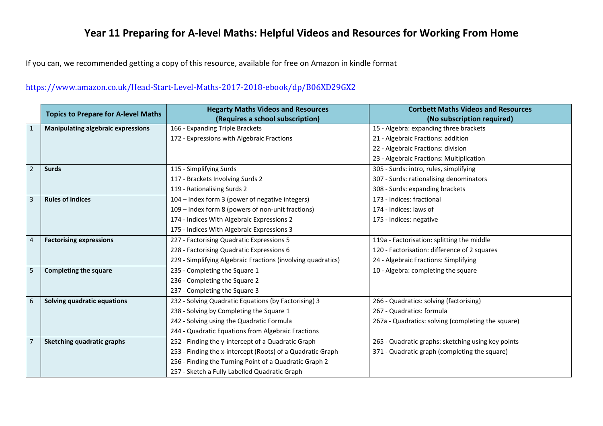## **Year 11 Preparing for A-level Maths: Helpful Videos and Resources for Working From Home**

If you can, we recommended getting a copy of this resource, available for free on Amazon in kindle format

## <https://www.amazon.co.uk/Head-Start-Level-Maths-2017-2018-ebook/dp/B06XD29GX2>

|   | <b>Topics to Prepare for A-level Maths</b> | <b>Hegarty Maths Videos and Resources</b>                    | <b>Cortbett Maths Videos and Resources</b>         |
|---|--------------------------------------------|--------------------------------------------------------------|----------------------------------------------------|
|   |                                            | (Requires a school subscription)                             | (No subscription required)                         |
| 1 | <b>Manipulating algebraic expressions</b>  | 166 - Expanding Triple Brackets                              | 15 - Algebra: expanding three brackets             |
|   |                                            | 172 - Expressions with Algebraic Fractions                   | 21 - Algebraic Fractions: addition                 |
|   |                                            |                                                              | 22 - Algebraic Fractions: division                 |
|   |                                            |                                                              | 23 - Algebraic Fractions: Multiplication           |
| 2 | <b>Surds</b>                               | 115 - Simplifying Surds                                      | 305 - Surds: intro, rules, simplifying             |
|   |                                            | 117 - Brackets Involving Surds 2                             | 307 - Surds: rationalising denominators            |
|   |                                            | 119 - Rationalising Surds 2                                  | 308 - Surds: expanding brackets                    |
| 3 | <b>Rules of indices</b>                    | 104 - Index form 3 (power of negative integers)              | 173 - Indices: fractional                          |
|   |                                            | 109 - Index form 8 (powers of non-unit fractions)            | 174 - Indices: laws of                             |
|   |                                            | 174 - Indices With Algebraic Expressions 2                   | 175 - Indices: negative                            |
|   |                                            | 175 - Indices With Algebraic Expressions 3                   |                                                    |
| 4 | <b>Factorising expressions</b>             | 227 - Factorising Quadratic Expressions 5                    | 119a - Factorisation: splitting the middle         |
|   |                                            | 228 - Factorising Quadratic Expressions 6                    | 120 - Factorisation: difference of 2 squares       |
|   |                                            | 229 - Simplifying Algebraic Fractions (involving quadratics) | 24 - Algebraic Fractions: Simplifying              |
| 5 | <b>Completing the square</b>               | 235 - Completing the Square 1                                | 10 - Algebra: completing the square                |
|   |                                            | 236 - Completing the Square 2                                |                                                    |
|   |                                            | 237 - Completing the Square 3                                |                                                    |
| 6 | Solving quadratic equations                | 232 - Solving Quadratic Equations (by Factorising) 3         | 266 - Quadratics: solving (factorising)            |
|   |                                            | 238 - Solving by Completing the Square 1                     | 267 - Quadratics: formula                          |
|   |                                            | 242 - Solving using the Quadratic Formula                    | 267a - Quadratics: solving (completing the square) |
|   |                                            | 244 - Quadratic Equations from Algebraic Fractions           |                                                    |
|   | <b>Sketching quadratic graphs</b>          | 252 - Finding the y-intercept of a Quadratic Graph           | 265 - Quadratic graphs: sketching using key points |
|   |                                            | 253 - Finding the x-intercept (Roots) of a Quadratic Graph   | 371 - Quadratic graph (completing the square)      |
|   |                                            | 256 - Finding the Turning Point of a Quadratic Graph 2       |                                                    |
|   |                                            | 257 - Sketch a Fully Labelled Quadratic Graph                |                                                    |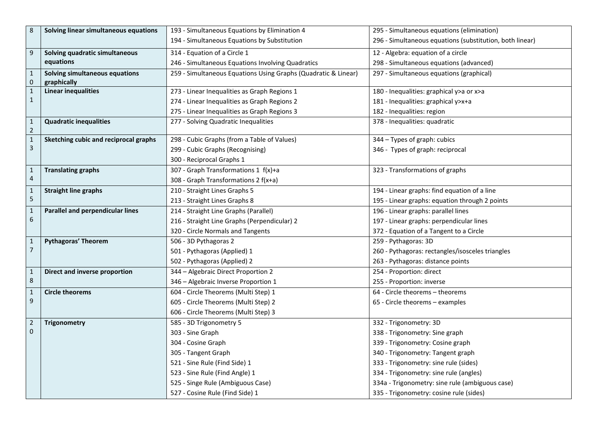| 8                              | Solving linear simultaneous equations | 193 - Simultaneous Equations by Elimination 4                  | 295 - Simultaneous equations (elimination)               |
|--------------------------------|---------------------------------------|----------------------------------------------------------------|----------------------------------------------------------|
|                                |                                       | 194 - Simultaneous Equations by Substitution                   | 296 - Simultaneous equations (substitution, both linear) |
| 9                              | Solving quadratic simultaneous        | 314 - Equation of a Circle 1                                   | 12 - Algebra: equation of a circle                       |
|                                | equations                             | 246 - Simultaneous Equations Involving Quadratics              | 298 - Simultaneous equations (advanced)                  |
| 1                              | Solving simultaneous equations        | 259 - Simultaneous Equations Using Graphs (Quadratic & Linear) | 297 - Simultaneous equations (graphical)                 |
| 0                              | graphically                           |                                                                |                                                          |
| $\mathbf{1}$                   | <b>Linear inequalities</b>            | 273 - Linear Inequalities as Graph Regions 1                   | 180 - Inequalities: graphical y>a or x>a                 |
| 1                              |                                       | 274 - Linear Inequalities as Graph Regions 2                   | 181 - Inequalities: graphical y>x+a                      |
|                                |                                       | 275 - Linear Inequalities as Graph Regions 3                   | 182 - Inequalities: region                               |
| $\mathbf 1$                    | <b>Quadratic inequalities</b>         | 277 - Solving Quadratic Inequalities                           | 378 - Inequalities: quadratic                            |
| $\overline{2}$<br>$\mathbf{1}$ | Sketching cubic and reciprocal graphs | 298 - Cubic Graphs (from a Table of Values)                    | 344 - Types of graph: cubics                             |
| 3                              |                                       | 299 - Cubic Graphs (Recognising)                               | 346 - Types of graph: reciprocal                         |
|                                |                                       | 300 - Reciprocal Graphs 1                                      |                                                          |
|                                |                                       |                                                                |                                                          |
| 1<br>4                         | <b>Translating graphs</b>             | 307 - Graph Transformations 1 f(x)+a                           | 323 - Transformations of graphs                          |
|                                |                                       | 308 - Graph Transformations 2 f(x+a)                           |                                                          |
| 1<br>5                         | <b>Straight line graphs</b>           | 210 - Straight Lines Graphs 5                                  | 194 - Linear graphs: find equation of a line             |
|                                |                                       | 213 - Straight Lines Graphs 8                                  | 195 - Linear graphs: equation through 2 points           |
| $\mathbf{1}$<br>6              | Parallel and perpendicular lines      | 214 - Straight Line Graphs (Parallel)                          | 196 - Linear graphs: parallel lines                      |
|                                |                                       | 216 - Straight Line Graphs (Perpendicular) 2                   | 197 - Linear graphs: perpendicular lines                 |
|                                |                                       | 320 - Circle Normals and Tangents                              | 372 - Equation of a Tangent to a Circle                  |
| $\mathbf{1}$                   | <b>Pythagoras' Theorem</b>            | 506 - 3D Pythagoras 2                                          | 259 - Pythagoras: 3D                                     |
| $\overline{7}$                 |                                       | 501 - Pythagoras (Applied) 1                                   | 260 - Pythagoras: rectangles/isosceles triangles         |
|                                |                                       | 502 - Pythagoras (Applied) 2                                   | 263 - Pythagoras: distance points                        |
| $\mathbf{1}$                   | Direct and inverse proportion         | 344 - Algebraic Direct Proportion 2                            | 254 - Proportion: direct                                 |
| 8                              |                                       | 346 - Algebraic Inverse Proportion 1                           | 255 - Proportion: inverse                                |
| 1                              | <b>Circle theorems</b>                | 604 - Circle Theorems (Multi Step) 1                           | 64 - Circle theorems – theorems                          |
| 9                              |                                       | 605 - Circle Theorems (Multi Step) 2                           | 65 - Circle theorems – examples                          |
|                                |                                       | 606 - Circle Theorems (Multi Step) 3                           |                                                          |
| $\overline{2}$                 | <b>Trigonometry</b>                   | 585 - 3D Trigonometry 5                                        | 332 - Trigonometry: 3D                                   |
| 0                              |                                       | 303 - Sine Graph                                               | 338 - Trigonometry: Sine graph                           |
|                                |                                       | 304 - Cosine Graph                                             | 339 - Trigonometry: Cosine graph                         |
|                                |                                       | 305 - Tangent Graph                                            | 340 - Trigonometry: Tangent graph                        |
|                                |                                       | 521 - Sine Rule (Find Side) 1                                  | 333 - Trigonometry: sine rule (sides)                    |
|                                |                                       | 523 - Sine Rule (Find Angle) 1                                 | 334 - Trigonometry: sine rule (angles)                   |
|                                |                                       | 525 - Singe Rule (Ambiguous Case)                              | 334a - Trigonometry: sine rule (ambiguous case)          |
|                                |                                       | 527 - Cosine Rule (Find Side) 1                                | 335 - Trigonometry: cosine rule (sides)                  |